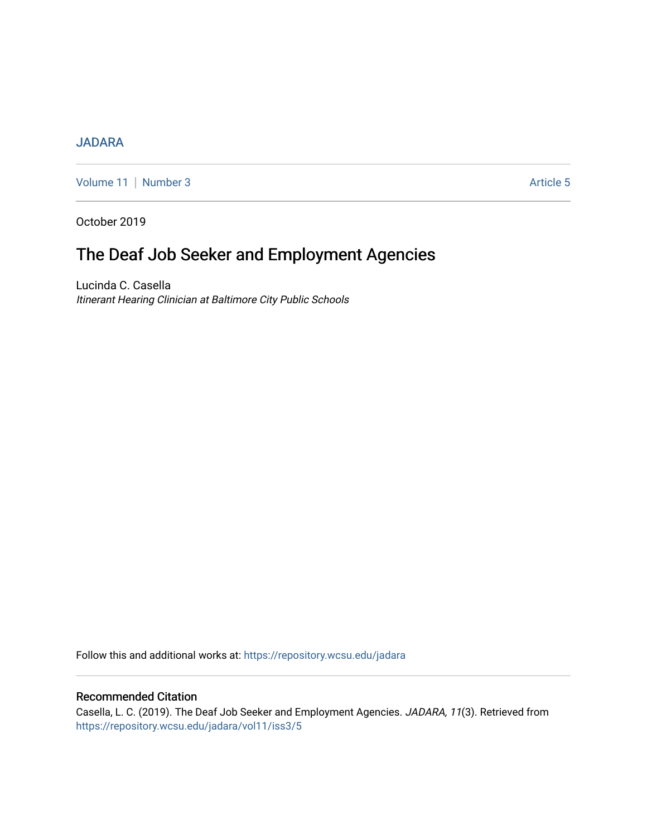# [JADARA](https://repository.wcsu.edu/jadara)

[Volume 11](https://repository.wcsu.edu/jadara/vol11) | [Number 3](https://repository.wcsu.edu/jadara/vol11/iss3) Article 5

October 2019

# The Deaf Job Seeker and Employment Agencies

Lucinda C. Casella Itinerant Hearing Clinician at Baltimore City Public Schools

Follow this and additional works at: [https://repository.wcsu.edu/jadara](https://repository.wcsu.edu/jadara?utm_source=repository.wcsu.edu%2Fjadara%2Fvol11%2Fiss3%2F5&utm_medium=PDF&utm_campaign=PDFCoverPages)

# Recommended Citation

Casella, L. C. (2019). The Deaf Job Seeker and Employment Agencies. JADARA, 11(3). Retrieved from [https://repository.wcsu.edu/jadara/vol11/iss3/5](https://repository.wcsu.edu/jadara/vol11/iss3/5?utm_source=repository.wcsu.edu%2Fjadara%2Fvol11%2Fiss3%2F5&utm_medium=PDF&utm_campaign=PDFCoverPages)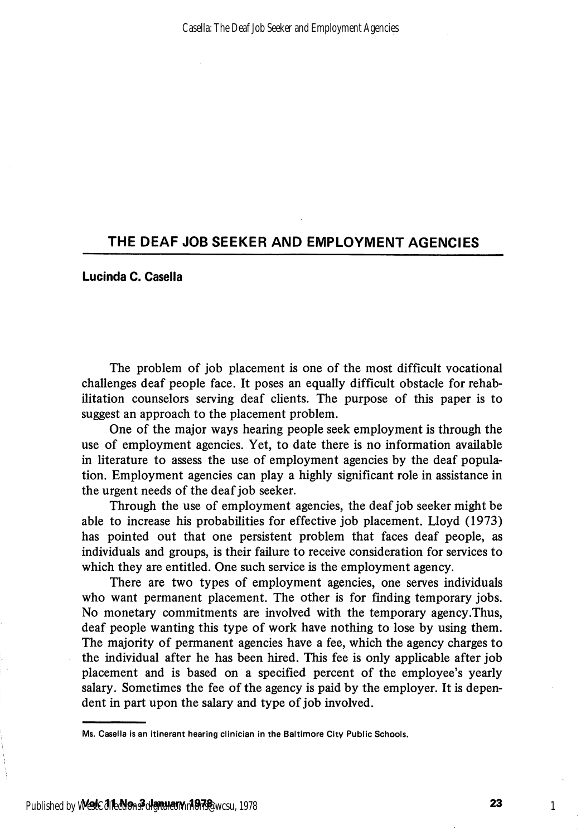## THE DEAF JOB SEEKER AND EMPLOYMENT AGENCIES

### Lucinda C. Casella

The problem of job placement is one of the most difficult vocational challenges deaf people face. It poses an equally difficult obstacle for rehab ilitation counselors serving deaf clients. The purpose of this paper is to suggest an approach to the placement problem.

One of the major ways hearing people seek employment is through the use of employment agencies. Yet, to date there is no information available in literature to assess the use of employment agencies by the deaf popula tion. Employment agencies can play a highly significant role in assistance in the urgent needs of the deaf job seeker.

Through the use of employment agencies, the deaf job seeker might be able to increase his probabilities for effective job placement. Lloyd (1973) has pointed out that one persistent problem that faces deaf people, as individuals and groups, is their failure to receive consideration for services to which they are entitled. One such service is the employment agency.

There are two types of employment agencies, one serves individuals who want permanent placement. The other is for finding temporary jobs. No monetary commitments are involved with the temporary agency .Thus, deaf people wanting this type of work have nothing to lose by using them. The majority of permanent agencies have a fee, which the agency charges to the individual after he has been hired. This fee is only applicable after job placement and is based on a specified percent of the employee's yearly salary. Sometimes the fee of the agency is paid by the employer. It is depen dent in part upon the salary and type of job involved.

Ms. Casella is an itinerant hearing clinician in the Baltimore City Public Schools.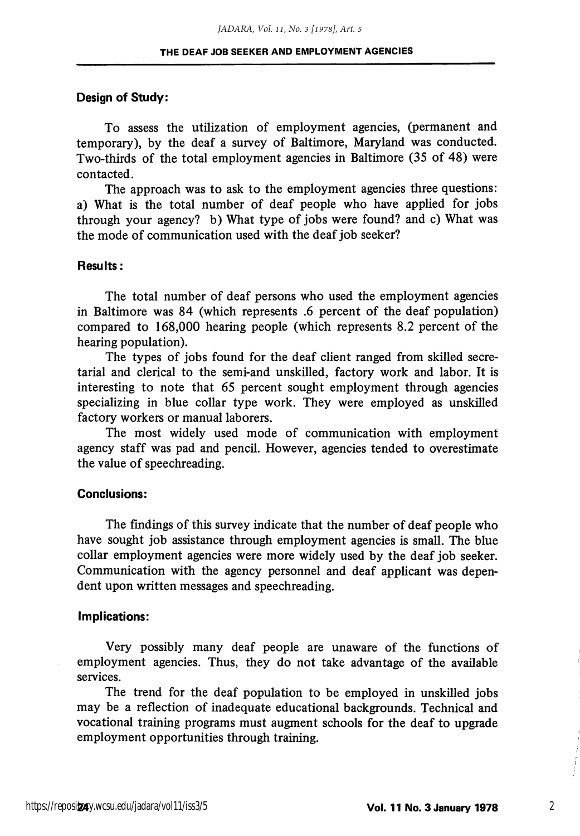#### Design of Study:

To assess the utilization of employment agencies, (permanent and temporary), by the deaf a survey of Baltimore, Maryland was conducted. Two-thirds of the total employment agencies in Baltimore (35 of 48) were contacted.

The approach was to ask to the employment agencies three questions: a) What is the total number of deaf people who have applied for jobs through your agency? b) What type of jobs were found? and c) What was the mode of communication used with the deaf job seeker?

#### Results:

The total number of deaf persons who used the employment agencies in Baltimore was 84 (which represents .6 percent of the deaf population) compared to 168,000 hearing people (which represents 8.2 percent of the hearing population).

The types of jobs found for the deaf client ranged from skilled secre tarial and clerical to the semi-and unskilled, factory work and labor. It is interesting to note that 65 percent sought employment through agencies specializing in blue collar type work. They were employed as unskilled factory workers or manual laborers.

The most widely used mode of communication with employment agency staff was pad and pencil. However, agencies tended to overestimate the value of speechreading.

#### Conclusions:

The findings of this survey indicate that the number of deaf people who have sought job assistance through employment agencies is small. The blue collar employment agencies were more widely used by the deaf job seeker. Communication with the agency personnel and deaf applicant was depen dent upon written messages and speechreading.

#### Implications:

Very possibly many deaf people are unaware of the functions of employment agencies. Thus, they do not take advantage of the available services.

The trend for the deaf population to be employed in unskilled jobs may be a reflection of inadequate educational backgrounds. Technical and vocational training programs must augment schools for the deaf to upgrade employment opportunities through training.